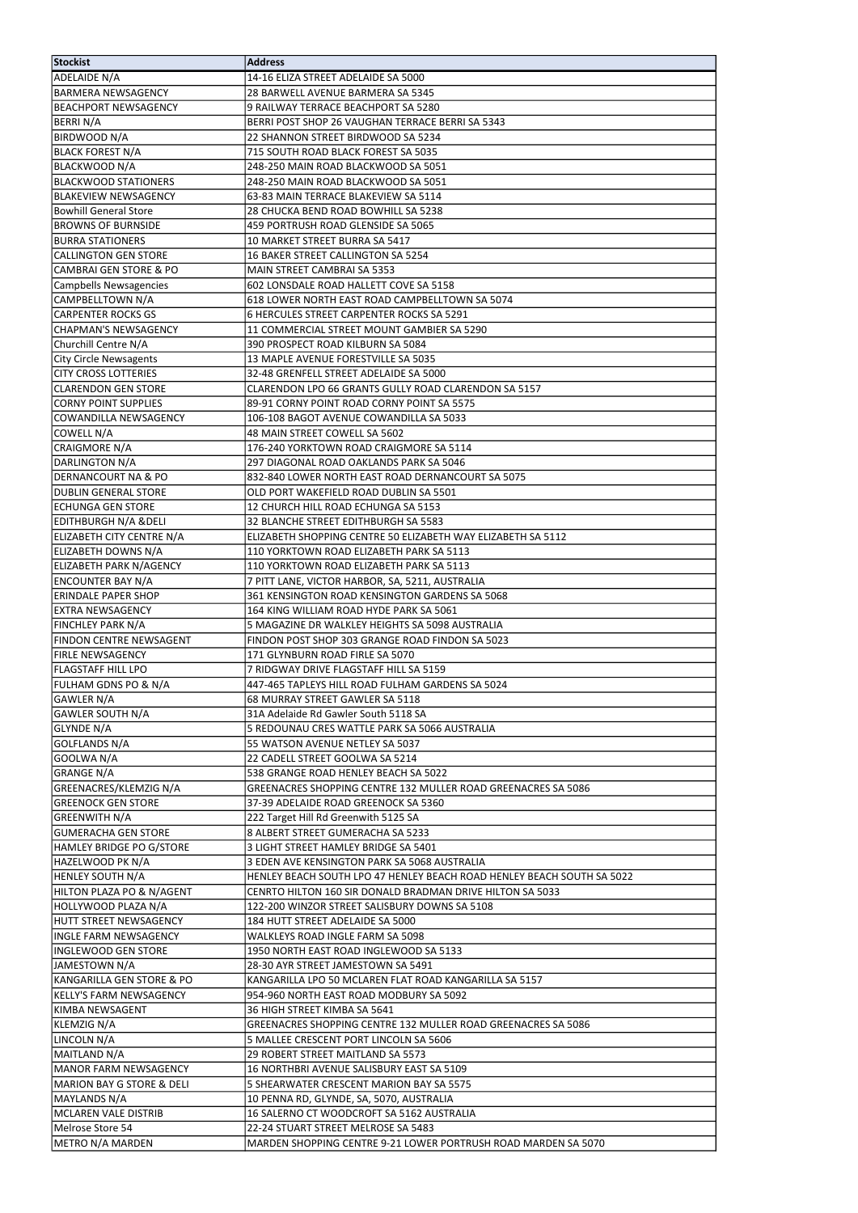| Stockist                          | <b>Address</b>                                                         |
|-----------------------------------|------------------------------------------------------------------------|
| ADELAIDE N/A                      | 14-16 ELIZA STREET ADELAIDE SA 5000                                    |
| <b>BARMERA NEWSAGENCY</b>         | 28 BARWELL AVENUE BARMERA SA 5345                                      |
| <b>BEACHPORT NEWSAGENCY</b>       | 9 RAILWAY TERRACE BEACHPORT SA 5280                                    |
| BERRI N/A                         | BERRI POST SHOP 26 VAUGHAN TERRACE BERRI SA 5343                       |
| BIRDWOOD N/A                      | 22 SHANNON STREET BIRDWOOD SA 5234                                     |
|                                   |                                                                        |
| <b>BLACK FOREST N/A</b>           | 715 SOUTH ROAD BLACK FOREST SA 5035                                    |
| BLACKWOOD N/A                     | 248-250 MAIN ROAD BLACKWOOD SA 5051                                    |
| <b>BLACKWOOD STATIONERS</b>       | 248-250 MAIN ROAD BLACKWOOD SA 5051                                    |
| <b>BLAKEVIEW NEWSAGENCY</b>       | 63-83 MAIN TERRACE BLAKEVIEW SA 5114                                   |
| <b>Bowhill General Store</b>      | 28 CHUCKA BEND ROAD BOWHILL SA 5238                                    |
| <b>BROWNS OF BURNSIDE</b>         | 459 PORTRUSH ROAD GLENSIDE SA 5065                                     |
| <b>BURRA STATIONERS</b>           | 10 MARKET STREET BURRA SA 5417                                         |
| <b>CALLINGTON GEN STORE</b>       | 16 BAKER STREET CALLINGTON SA 5254                                     |
| <b>CAMBRAI GEN STORE &amp; PO</b> | MAIN STREET CAMBRAI SA 5353                                            |
| <b>Campbells Newsagencies</b>     | 602 LONSDALE ROAD HALLETT COVE SA 5158                                 |
| CAMPBELLTOWN N/A                  | 618 LOWER NORTH EAST ROAD CAMPBELLTOWN SA 5074                         |
| <b>CARPENTER ROCKS GS</b>         | 6 HERCULES STREET CARPENTER ROCKS SA 5291                              |
| <b>CHAPMAN'S NEWSAGENCY</b>       | 11 COMMERCIAL STREET MOUNT GAMBIER SA 5290                             |
| Churchill Centre N/A              | 390 PROSPECT ROAD KILBURN SA 5084                                      |
| <b>City Circle Newsagents</b>     | 13 MAPLE AVENUE FORESTVILLE SA 5035                                    |
| <b>CITY CROSS LOTTERIES</b>       | 32-48 GRENFELL STREET ADELAIDE SA 5000                                 |
| <b>CLARENDON GEN STORE</b>        | CLARENDON LPO 66 GRANTS GULLY ROAD CLARENDON SA 5157                   |
| <b>CORNY POINT SUPPLIES</b>       | 89-91 CORNY POINT ROAD CORNY POINT SA 5575                             |
| <b>COWANDILLA NEWSAGENCY</b>      | 106-108 BAGOT AVENUE COWANDILLA SA 5033                                |
| COWELL N/A                        | 48 MAIN STREET COWELL SA 5602                                          |
| CRAIGMORE N/A                     | 176-240 YORKTOWN ROAD CRAIGMORE SA 5114                                |
| DARLINGTON N/A                    | 297 DIAGONAL ROAD OAKLANDS PARK SA 5046                                |
| DERNANCOURT NA & PO               | 832-840 LOWER NORTH EAST ROAD DERNANCOURT SA 5075                      |
| <b>DUBLIN GENERAL STORE</b>       | OLD PORT WAKEFIELD ROAD DUBLIN SA 5501                                 |
| <b>ECHUNGA GEN STORE</b>          | 12 CHURCH HILL ROAD ECHUNGA SA 5153                                    |
| <b>EDITHBURGH N/A &amp;DELI</b>   | 32 BLANCHE STREET EDITHBURGH SA 5583                                   |
| ELIZABETH CITY CENTRE N/A         | ELIZABETH SHOPPING CENTRE 50 ELIZABETH WAY ELIZABETH SA 5112           |
| <b>ELIZABETH DOWNS N/A</b>        | 110 YORKTOWN ROAD ELIZABETH PARK SA 5113                               |
| <b>ELIZABETH PARK N/AGENCY</b>    | 110 YORKTOWN ROAD ELIZABETH PARK SA 5113                               |
| <b>ENCOUNTER BAY N/A</b>          | 7 PITT LANE, VICTOR HARBOR, SA, 5211, AUSTRALIA                        |
| <b>ERINDALE PAPER SHOP</b>        | 361 KENSINGTON ROAD KENSINGTON GARDENS SA 5068                         |
| <b>EXTRA NEWSAGENCY</b>           | 164 KING WILLIAM ROAD HYDE PARK SA 5061                                |
| <b>FINCHLEY PARK N/A</b>          | 5 MAGAZINE DR WALKLEY HEIGHTS SA 5098 AUSTRALIA                        |
| <b>FINDON CENTRE NEWSAGENT</b>    | FINDON POST SHOP 303 GRANGE ROAD FINDON SA 5023                        |
| <b>FIRLE NEWSAGENCY</b>           | 171 GLYNBURN ROAD FIRLE SA 5070                                        |
| <b>FLAGSTAFF HILL LPO</b>         | 7 RIDGWAY DRIVE FLAGSTAFF HILL SA 5159                                 |
| <b>FULHAM GDNS PO &amp; N/A</b>   | 447-465 TAPLEYS HILL ROAD FULHAM GARDENS SA 5024                       |
| GAWLER N/A                        | 68 MURRAY STREET GAWLER SA 5118                                        |
| GAWLER SOUTH N/A                  | 31A Adelaide Rd Gawler South 5118 SA                                   |
| GLYNDE N/A                        | 5 REDOUNAU CRES WATTLE PARK SA 5066 AUSTRALIA                          |
| <b>GOLFLANDS N/A</b>              | 55 WATSON AVENUE NETLEY SA 5037                                        |
| GOOLWA N/A                        | 22 CADELL STREET GOOLWA SA 5214                                        |
|                                   | 538 GRANGE ROAD HENLEY BEACH SA 5022                                   |
| GRANGE N/A                        |                                                                        |
| GREENACRES/KLEMZIG N/A            | GREENACRES SHOPPING CENTRE 132 MULLER ROAD GREENACRES SA 5086          |
| <b>GREENOCK GEN STORE</b>         | 37-39 ADELAIDE ROAD GREENOCK SA 5360                                   |
| GREENWITH N/A                     | 222 Target Hill Rd Greenwith 5125 SA                                   |
| <b>GUMERACHA GEN STORE</b>        | 8 ALBERT STREET GUMERACHA SA 5233                                      |
| HAMLEY BRIDGE PO G/STORE          | 3 LIGHT STREET HAMLEY BRIDGE SA 5401                                   |
| HAZELWOOD PK N/A                  | 3 EDEN AVE KENSINGTON PARK SA 5068 AUSTRALIA                           |
| HENLEY SOUTH N/A                  | HENLEY BEACH SOUTH LPO 47 HENLEY BEACH ROAD HENLEY BEACH SOUTH SA 5022 |
| HILTON PLAZA PO & N/AGENT         | CENRTO HILTON 160 SIR DONALD BRADMAN DRIVE HILTON SA 5033              |
| HOLLYWOOD PLAZA N/A               | 122-200 WINZOR STREET SALISBURY DOWNS SA 5108                          |
| <b>HUTT STREET NEWSAGENCY</b>     | 184 HUTT STREET ADELAIDE SA 5000                                       |
| <b>INGLE FARM NEWSAGENCY</b>      | WALKLEYS ROAD INGLE FARM SA 5098                                       |
| INGLEWOOD GEN STORE               | 1950 NORTH EAST ROAD INGLEWOOD SA 5133                                 |
| JAMESTOWN N/A                     | 28-30 AYR STREET JAMESTOWN SA 5491                                     |
| IKANGARILLA GEN STORE & PO        | KANGARILLA LPO 50 MCLAREN FLAT ROAD KANGARILLA SA 5157                 |
| <b>KELLY'S FARM NEWSAGENCY</b>    | 954-960 NORTH EAST ROAD MODBURY SA 5092                                |
| <b>KIMBA NEWSAGENT</b>            | 36 HIGH STREET KIMBA SA 5641                                           |
| KLEMZIG N/A                       | GREENACRES SHOPPING CENTRE 132 MULLER ROAD GREENACRES SA 5086          |
| LINCOLN N/A                       | 5 MALLEE CRESCENT PORT LINCOLN SA 5606                                 |
| MAITLAND N/A                      | 29 ROBERT STREET MAITLAND SA 5573                                      |
| MANOR FARM NEWSAGENCY             | 16 NORTHBRI AVENUE SALISBURY EAST SA 5109                              |
| MARION BAY G STORE & DELI         | 5 SHEARWATER CRESCENT MARION BAY SA 5575                               |
| MAYLANDS N/A                      | 10 PENNA RD, GLYNDE, SA, 5070, AUSTRALIA                               |
| MCLAREN VALE DISTRIB              | 16 SALERNO CT WOODCROFT SA 5162 AUSTRALIA                              |
| Melrose Store 54                  | 22-24 STUART STREET MELROSE SA 5483                                    |
| METRO N/A MARDEN                  | MARDEN SHOPPING CENTRE 9-21 LOWER PORTRUSH ROAD MARDEN SA 5070         |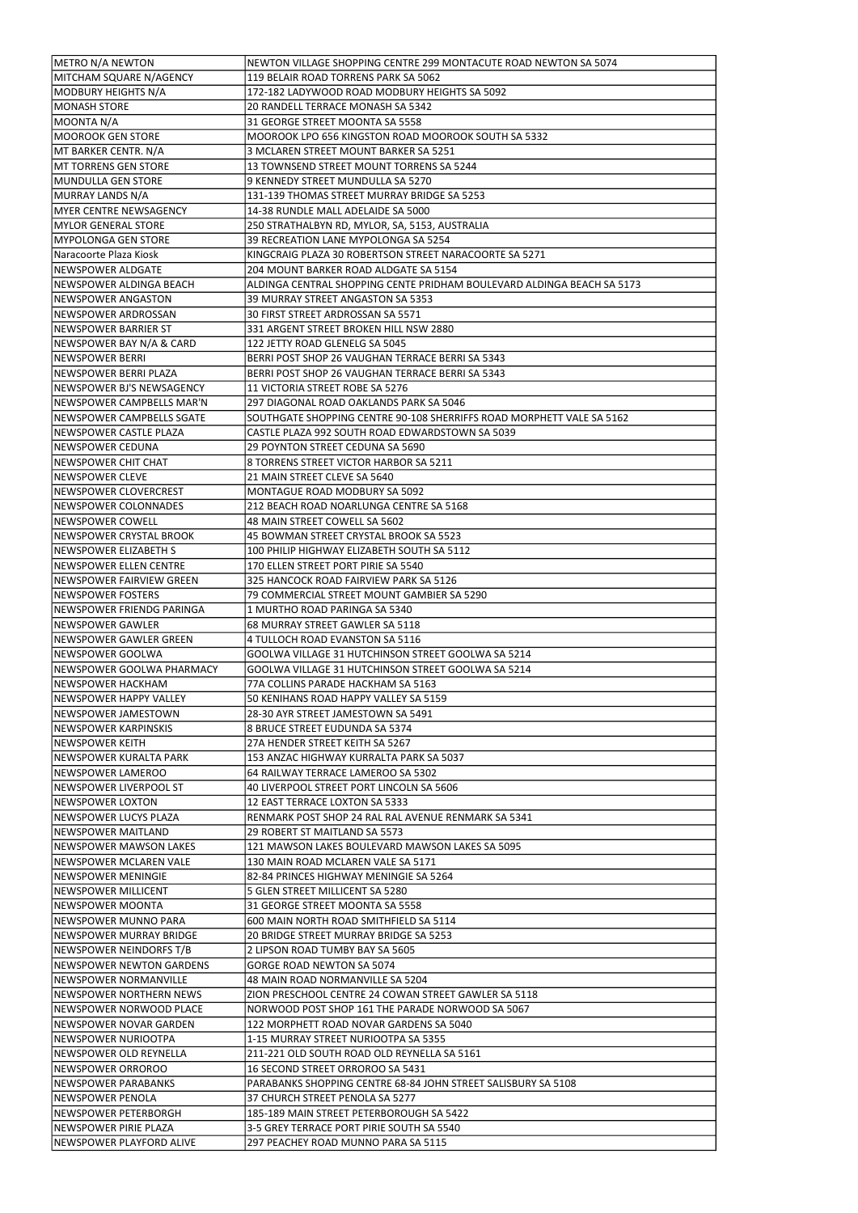| METRO N/A NEWTON                 | NEWTON VILLAGE SHOPPING CENTRE 299 MONTACUTE ROAD NEWTON SA 5074       |
|----------------------------------|------------------------------------------------------------------------|
| MITCHAM SQUARE N/AGENCY          | 119 BELAIR ROAD TORRENS PARK SA 5062                                   |
|                                  |                                                                        |
| MODBURY HEIGHTS N/A              | 172-182 LADYWOOD ROAD MODBURY HEIGHTS SA 5092                          |
| MONASH STORE                     | 20 RANDELL TERRACE MONASH SA 5342                                      |
| MOONTA N/A                       | 31 GEORGE STREET MOONTA SA 5558                                        |
| MOOROOK GEN STORE                | MOOROOK LPO 656 KINGSTON ROAD MOOROOK SOUTH SA 5332                    |
| MT BARKER CENTR. N/A             | 3 MCLAREN STREET MOUNT BARKER SA 5251                                  |
| IMT TORRENS GEN STORE            | 13 TOWNSEND STREET MOUNT TORRENS SA 5244                               |
|                                  |                                                                        |
| MUNDULLA GEN STORE               | 9 KENNEDY STREET MUNDULLA SA 5270                                      |
| MURRAY LANDS N/A                 | 131-139 THOMAS STREET MURRAY BRIDGE SA 5253                            |
| IMYER CENTRE NEWSAGENCY          | 14-38 RUNDLE MALL ADELAIDE SA 5000                                     |
| MYLOR GENERAL STORE              | 250 STRATHALBYN RD, MYLOR, SA, 5153, AUSTRALIA                         |
| MYPOLONGA GEN STORE              | 39 RECREATION LANE MYPOLONGA SA 5254                                   |
| lNaracoorte Plaza Kiosk          | KINGCRAIG PLAZA 30 ROBERTSON STREET NARACOORTE SA 5271                 |
|                                  |                                                                        |
| NEWSPOWER ALDGATE                | 204 MOUNT BARKER ROAD ALDGATE SA 5154                                  |
| NEWSPOWER ALDINGA BEACH          | ALDINGA CENTRAL SHOPPING CENTE PRIDHAM BOULEVARD ALDINGA BEACH SA 5173 |
| INEWSPOWER ANGASTON              | 39 MURRAY STREET ANGASTON SA 5353                                      |
| NEWSPOWER ARDROSSAN              | 30 FIRST STREET ARDROSSAN SA 5571                                      |
| NEWSPOWER BARRIER ST             | 331 ARGENT STREET BROKEN HILL NSW 2880                                 |
| NEWSPOWER BAY N/A & CARD         | 122 JETTY ROAD GLENELG SA 5045                                         |
|                                  |                                                                        |
| NEWSPOWER BERRI                  | BERRI POST SHOP 26 VAUGHAN TERRACE BERRI SA 5343                       |
| NEWSPOWER BERRI PLAZA            | BERRI POST SHOP 26 VAUGHAN TERRACE BERRI SA 5343                       |
| INEWSPOWER BJ'S NEWSAGENCY       | 11 VICTORIA STREET ROBE SA 5276                                        |
| NEWSPOWER CAMPBELLS MAR'N        | 297 DIAGONAL ROAD OAKLANDS PARK SA 5046                                |
| NEWSPOWER CAMPBELLS SGATE        | SOUTHGATE SHOPPING CENTRE 90-108 SHERRIFFS ROAD MORPHETT VALE SA 5162  |
| NEWSPOWER CASTLE PLAZA           |                                                                        |
|                                  | CASTLE PLAZA 992 SOUTH ROAD EDWARDSTOWN SA 5039                        |
| NEWSPOWER CEDUNA                 | 29 POYNTON STREET CEDUNA SA 5690                                       |
| NEWSPOWER CHIT CHAT              | 8 TORRENS STREET VICTOR HARBOR SA 5211                                 |
| NEWSPOWER CLEVE                  | 21 MAIN STREET CLEVE SA 5640                                           |
| NEWSPOWER CLOVERCREST            | MONTAGUE ROAD MODBURY SA 5092                                          |
| <b>NEWSPOWER COLONNADES</b>      | 212 BEACH ROAD NOARLUNGA CENTRE SA 5168                                |
| NEWSPOWER COWELL                 | 48 MAIN STREET COWELL SA 5602                                          |
|                                  |                                                                        |
| INEWSPOWER CRYSTAL BROOK         | 45 BOWMAN STREET CRYSTAL BROOK SA 5523                                 |
| INEWSPOWER ELIZABETH S           | 100 PHILIP HIGHWAY ELIZABETH SOUTH SA 5112                             |
| NEWSPOWER ELLEN CENTRE           | 170 ELLEN STREET PORT PIRIE SA 5540                                    |
| INEWSPOWER FAIRVIEW GREEN        | 325 HANCOCK ROAD FAIRVIEW PARK SA 5126                                 |
| INEWSPOWER FOSTERS               | 79 COMMERCIAL STREET MOUNT GAMBIER SA 5290                             |
| INEWSPOWER FRIENDG PARINGA       | l1 MURTHO ROAD PARINGA SA 5340                                         |
|                                  |                                                                        |
| INEWSPOWER GAWLER                | 68 MURRAY STREET GAWLER SA 5118                                        |
| INEWSPOWER GAWLER GREEN          | 4 TULLOCH ROAD EVANSTON SA 5116                                        |
| INEWSPOWER GOOLWA                | GOOLWA VILLAGE 31 HUTCHINSON STREET GOOLWA SA 5214                     |
| INEWSPOWER GOOLWA PHARMACY       | GOOLWA VILLAGE 31 HUTCHINSON STREET GOOLWA SA 5214                     |
| INEWSPOWER HACKHAM               | 77A COLLINS PARADE HACKHAM SA 5163                                     |
| INEWSPOWER HAPPY VALLEY          | 50 KENIHANS ROAD HAPPY VALLEY SA 5159                                  |
|                                  |                                                                        |
| INEWSPOWER JAMESTOWN             | 28-30 AYR STREET JAMESTOWN SA 5491                                     |
| INEWSPOWER KARPINSKIS            | 8 BRUCE STREET EUDUNDA SA 5374                                         |
| INEWSPOWER KEITH                 | 27A HENDER STREET KEITH SA 5267                                        |
| INEWSPOWER KURALTA PARK          | 153 ANZAC HIGHWAY KURRALTA PARK SA 5037                                |
| INEWSPOWER LAMEROO               | 64 RAILWAY TERRACE LAMEROO SA 5302                                     |
| INEWSPOWER LIVERPOOL ST          | 40 LIVERPOOL STREET PORT LINCOLN SA 5606                               |
|                                  |                                                                        |
| INEWSPOWER LOXTON                | 12 EAST TERRACE LOXTON SA 5333                                         |
| INEWSPOWER LUCYS PLAZA           | IRENMARK POST SHOP 24 RAL RAL AVENUE RENMARK SA 5341                   |
| NEWSPOWER MAITLAND               | 29 ROBERT ST MAITLAND SA 5573                                          |
| INEWSPOWER MAWSON LAKES          | 121 MAWSON LAKES BOULEVARD MAWSON LAKES SA 5095                        |
| INEWSPOWER MCLAREN VALE          | 130 MAIN ROAD MCLAREN VALE SA 5171                                     |
| INEWSPOWER MENINGIE              | 182-84 PRINCES HIGHWAY MENINGIE SA 5264                                |
| NEWSPOWER MILLICENT              | 5 GLEN STREET MILLICENT SA 5280                                        |
|                                  |                                                                        |
| INEWSPOWER MOONTA                | 31 GEORGE STREET MOONTA SA 5558                                        |
| INEWSPOWER MUNNO PARA            | 600 MAIN NORTH ROAD SMITHFIELD SA 5114                                 |
| NEWSPOWER MURRAY BRIDGE          | 20 BRIDGE STREET MURRAY BRIDGE SA 5253                                 |
| NEWSPOWER NEINDORFS T/B          | 2 LIPSON ROAD TUMBY BAY SA 5605                                        |
| <b>INEWSPOWER NEWTON GARDENS</b> | <b>GORGE ROAD NEWTON SA 5074</b>                                       |
| INEWSPOWER NORMANVILLE           | 148 MAIN ROAD NORMANVILLE SA 5204                                      |
| INEWSPOWER NORTHERN NEWS         | IZION PRESCHOOL CENTRE 24 COWAN STREET GAWLER SA 5118                  |
|                                  |                                                                        |
| NEWSPOWER NORWOOD PLACE          | NORWOOD POST SHOP 161 THE PARADE NORWOOD SA 5067                       |
| INEWSPOWER NOVAR GARDEN          | 122 MORPHETT ROAD NOVAR GARDENS SA 5040                                |
| INEWSPOWER NURIOOTPA             | 1-15 MURRAY STREET NURIOOTPA SA 5355                                   |
| INEWSPOWER OLD REYNELLA          | 211-221 OLD SOUTH ROAD OLD REYNELLA SA 5161                            |
| NEWSPOWER ORROROO                | 16 SECOND STREET ORROROO SA 5431                                       |
| INEWSPOWER PARABANKS             | PARABANKS SHOPPING CENTRE 68-84 JOHN STREET SALISBURY SA 5108          |
|                                  |                                                                        |
| INEWSPOWER PENOLA                | 37 CHURCH STREET PENOLA SA 5277                                        |
| NEWSPOWER PETERBORGH             | 185-189 MAIN STREET PETERBOROUGH SA 5422                               |
| NEWSPOWER PIRIE PLAZA            | 3-5 GREY TERRACE PORT PIRIE SOUTH SA 5540                              |
| INEWSPOWER PLAYFORD ALIVE        | 297 PEACHEY ROAD MUNNO PARA SA 5115                                    |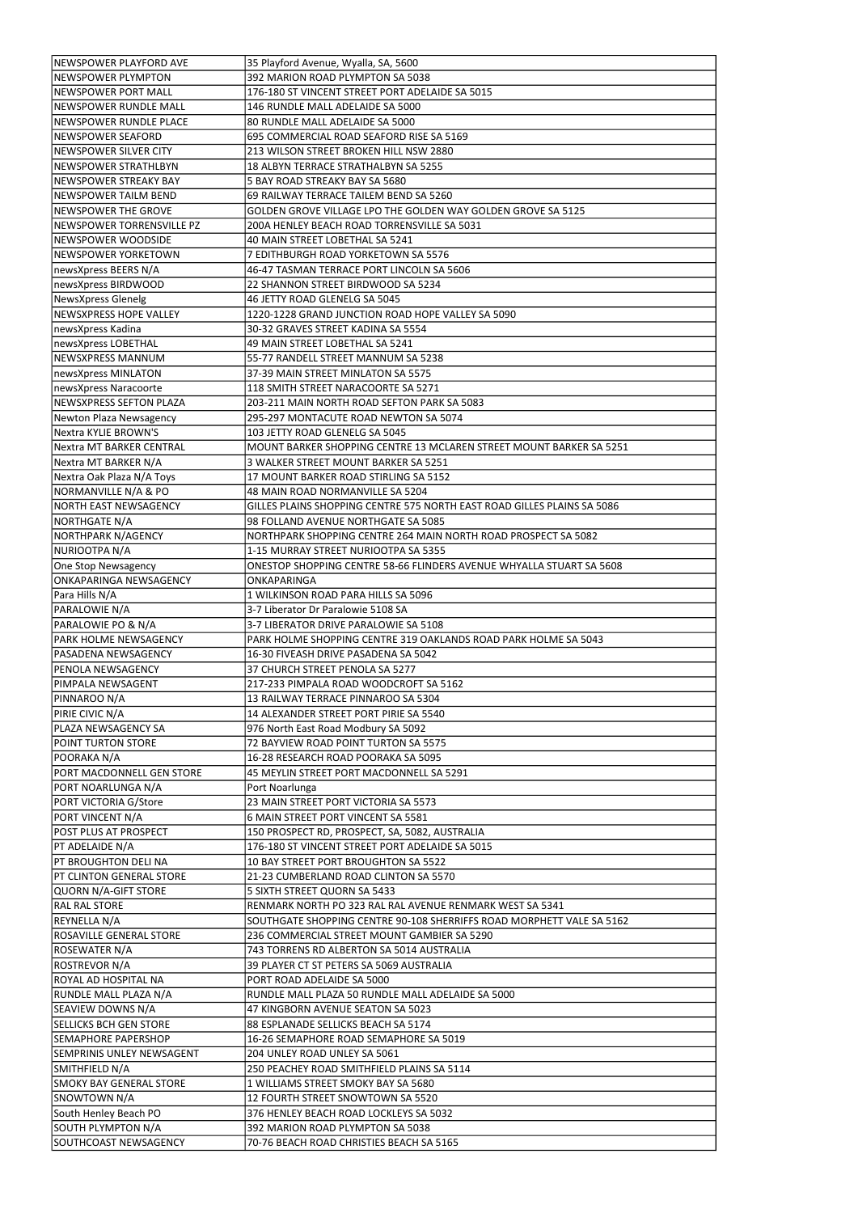| INEWSPOWER PLAYFORD AVE          | 35 Playford Avenue, Wyalla, SA, 5600                                    |
|----------------------------------|-------------------------------------------------------------------------|
|                                  |                                                                         |
| INEWSPOWER PLYMPTON              | 392 MARION ROAD PLYMPTON SA 5038                                        |
| NEWSPOWER PORT MALL              | 176-180 ST VINCENT STREET PORT ADELAIDE SA 5015                         |
| INEWSPOWER RUNDLE MALL           | 146 RUNDLE MALL ADELAIDE SA 5000                                        |
| NEWSPOWER RUNDLE PLACE           | 80 RUNDLE MALL ADELAIDE SA 5000                                         |
| NEWSPOWER SEAFORD                | 695 COMMERCIAL ROAD SEAFORD RISE SA 5169                                |
| NEWSPOWER SILVER CITY            | 213 WILSON STREET BROKEN HILL NSW 2880                                  |
|                                  |                                                                         |
| INEWSPOWER STRATHLBYN            | 18 ALBYN TERRACE STRATHALBYN SA 5255                                    |
| NEWSPOWER STREAKY BAY            | 5 BAY ROAD STREAKY BAY SA 5680                                          |
| NEWSPOWER TAILM BEND             | 69 RAILWAY TERRACE TAILEM BEND SA 5260                                  |
| NEWSPOWER THE GROVE              | GOLDEN GROVE VILLAGE LPO THE GOLDEN WAY GOLDEN GROVE SA 5125            |
| NEWSPOWER TORRENSVILLE PZ        | 200A HENLEY BEACH ROAD TORRENSVILLE SA 5031                             |
| NEWSPOWER WOODSIDE               | 40 MAIN STREET LOBETHAL SA 5241                                         |
| INEWSPOWER YORKETOWN             | 7 EDITHBURGH ROAD YORKETOWN SA 5576                                     |
|                                  |                                                                         |
| newsXpress BEERS N/A             | 46-47 TASMAN TERRACE PORT LINCOLN SA 5606                               |
| newsXpress BIRDWOOD              | 22 SHANNON STREET BIRDWOOD SA 5234                                      |
| NewsXpress Glenelg               | 46 JETTY ROAD GLENELG SA 5045                                           |
| NEWSXPRESS HOPE VALLEY           | 1220-1228 GRAND JUNCTION ROAD HOPE VALLEY SA 5090                       |
| newsXpress Kadina                | 30-32 GRAVES STREET KADINA SA 5554                                      |
| newsXpress LOBETHAL              | 49 MAIN STREET LOBETHAL SA 5241                                         |
|                                  |                                                                         |
| NEWSXPRESS MANNUM                | 55-77 RANDELL STREET MANNUM SA 5238                                     |
| newsXpress MINLATON              | 37-39 MAIN STREET MINLATON SA 5575                                      |
| newsXpress Naracoorte            | 118 SMITH STREET NARACOORTE SA 5271                                     |
| NEWSXPRESS SEFTON PLAZA          | 203-211 MAIN NORTH ROAD SEFTON PARK SA 5083                             |
| Newton Plaza Newsagency          | 295-297 MONTACUTE ROAD NEWTON SA 5074                                   |
| Nextra KYLIE BROWN'S             | 103 JETTY ROAD GLENELG SA 5045                                          |
|                                  |                                                                         |
| Nextra MT BARKER CENTRAL         | MOUNT BARKER SHOPPING CENTRE 13 MCLAREN STREET MOUNT BARKER SA 5251     |
| Nextra MT BARKER N/A             | 3 WALKER STREET MOUNT BARKER SA 5251                                    |
| Nextra Oak Plaza N/A Toys        | 17 MOUNT BARKER ROAD STIRLING SA 5152                                   |
| NORMANVILLE N/A & PO             | 48 MAIN ROAD NORMANVILLE SA 5204                                        |
| NORTH EAST NEWSAGENCY            | GILLES PLAINS SHOPPING CENTRE 575 NORTH EAST ROAD GILLES PLAINS SA 5086 |
| NORTHGATE N/A                    | 98 FOLLAND AVENUE NORTHGATE SA 5085                                     |
| NORTHPARK N/AGENCY               | NORTHPARK SHOPPING CENTRE 264 MAIN NORTH ROAD PROSPECT SA 5082          |
|                                  |                                                                         |
| NURIOOTPA N/A                    | 1-15 MURRAY STREET NURIOOTPA SA 5355                                    |
| One Stop Newsagency              | ONESTOP SHOPPING CENTRE 58-66 FLINDERS AVENUE WHYALLA STUART SA 5608    |
| ONKAPARINGA NEWSAGENCY           | ONKAPARINGA                                                             |
|                                  |                                                                         |
| Para Hills N/A                   | 1 WILKINSON ROAD PARA HILLS SA 5096                                     |
|                                  | 3-7 Liberator Dr Paralowie 5108 SA                                      |
| PARALOWIE N/A                    |                                                                         |
| PARALOWIE PO & N/A               | 3-7 LIBERATOR DRIVE PARALOWIE SA 5108                                   |
| <b>PARK HOLME NEWSAGENCY</b>     | PARK HOLME SHOPPING CENTRE 319 OAKLANDS ROAD PARK HOLME SA 5043         |
| <b>PASADENA NEWSAGENCY</b>       | 16-30 FIVEASH DRIVE PASADENA SA 5042                                    |
| <b>PENOLA NEWSAGENCY</b>         | 37 CHURCH STREET PENOLA SA 5277                                         |
| PIMPALA NEWSAGENT                | 217-233 PIMPALA ROAD WOODCROFT SA 5162                                  |
| PINNAROO N/A                     | 13 RAILWAY TERRACE PINNAROO SA 5304                                     |
| PIRIE CIVIC N/A                  | 14 ALEXANDER STREET PORT PIRIE SA 5540                                  |
|                                  |                                                                         |
| PLAZA NEWSAGENCY SA              | 976 North East Road Modbury SA 5092                                     |
| <b>POINT TURTON STORE</b>        | 72 BAYVIEW ROAD POINT TURTON SA 5575                                    |
| POORAKA N/A                      | 16-28 RESEARCH ROAD POORAKA SA 5095                                     |
| PORT MACDONNELL GEN STORE        | 45 MEYLIN STREET PORT MACDONNELL SA 5291                                |
| PORT NOARLUNGA N/A               | Port Noarlunga                                                          |
| PORT VICTORIA G/Store            | 23 MAIN STREET PORT VICTORIA SA 5573                                    |
| PORT VINCENT N/A                 | 6 MAIN STREET PORT VINCENT SA 5581                                      |
|                                  |                                                                         |
| <b>POST PLUS AT PROSPECT</b>     | 150 PROSPECT RD, PROSPECT, SA, 5082, AUSTRALIA                          |
| PT ADELAIDE N/A                  | 176-180 ST VINCENT STREET PORT ADELAIDE SA 5015                         |
| <b>PT BROUGHTON DELI NA</b>      | 10 BAY STREET PORT BROUGHTON SA 5522                                    |
| <b>PT CLINTON GENERAL STORE</b>  | 21-23 CUMBERLAND ROAD CLINTON SA 5570                                   |
| QUORN N/A-GIFT STORE             | 5 SIXTH STREET QUORN SA 5433                                            |
| <b>RAL RAL STORE</b>             | RENMARK NORTH PO 323 RAL RAL AVENUE RENMARK WEST SA 5341                |
| REYNELLA N/A                     | SOUTHGATE SHOPPING CENTRE 90-108 SHERRIFFS ROAD MORPHETT VALE SA 5162   |
| <b>ROSAVILLE GENERAL STORE</b>   | 236 COMMERCIAL STREET MOUNT GAMBIER SA 5290                             |
|                                  |                                                                         |
| <b>ROSEWATER N/A</b>             | 743 TORRENS RD ALBERTON SA 5014 AUSTRALIA                               |
| ROSTREVOR N/A                    | 39 PLAYER CT ST PETERS SA 5069 AUSTRALIA                                |
| ROYAL AD HOSPITAL NA             | PORT ROAD ADELAIDE SA 5000                                              |
| RUNDLE MALL PLAZA N/A            | RUNDLE MALL PLAZA 50 RUNDLE MALL ADELAIDE SA 5000                       |
| SEAVIEW DOWNS N/A                | 47 KINGBORN AVENUE SEATON SA 5023                                       |
| <b>SELLICKS BCH GEN STORE</b>    | 88 ESPLANADE SELLICKS BEACH SA 5174                                     |
| <b>SEMAPHORE PAPERSHOP</b>       | 16-26 SEMAPHORE ROAD SEMAPHORE SA 5019                                  |
|                                  |                                                                         |
| <b>SEMPRINIS UNLEY NEWSAGENT</b> | 204 UNLEY ROAD UNLEY SA 5061                                            |
| SMITHFIELD N/A                   | 250 PEACHEY ROAD SMITHFIELD PLAINS SA 5114                              |
| SMOKY BAY GENERAL STORE          | 1 WILLIAMS STREET SMOKY BAY SA 5680                                     |
| SNOWTOWN N/A                     | 12 FOURTH STREET SNOWTOWN SA 5520                                       |
| South Henley Beach PO            | 376 HENLEY BEACH ROAD LOCKLEYS SA 5032                                  |
| SOUTH PLYMPTON N/A               | 392 MARION ROAD PLYMPTON SA 5038                                        |